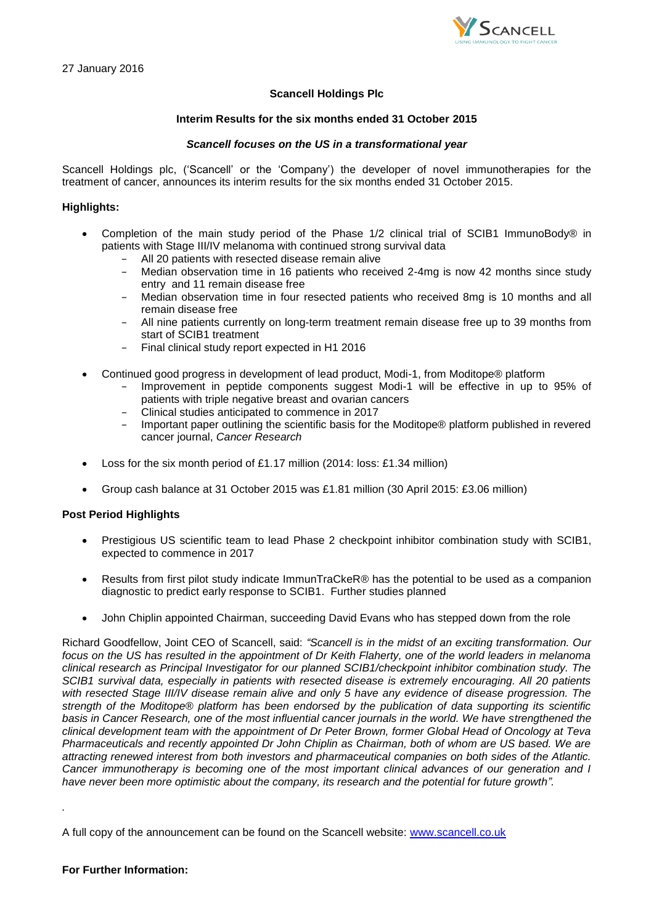

# **Scancell Holdings Plc**

## **Interim Results for the six months ended 31 October 2015**

## *Scancell focuses on the US in a transformational year*

Scancell Holdings plc, ('Scancell' or the 'Company') the developer of novel immunotherapies for the treatment of cancer, announces its interim results for the six months ended 31 October 2015.

## **Highlights:**

- Completion of the main study period of the Phase 1/2 clinical trial of SCIB1 ImmunoBody® in patients with Stage III/IV melanoma with continued strong survival data
	- − All 20 patients with resected disease remain alive
	- Median observation time in 16 patients who received 2-4mg is now 42 months since study entry and 11 remain disease free
	- − Median observation time in four resected patients who received 8mg is 10 months and all remain disease free
	- − All nine patients currently on long-term treatment remain disease free up to 39 months from start of SCIB1 treatment
	- − Final clinical study report expected in H1 2016
- Continued good progress in development of lead product, Modi-1, from Moditope® platform
	- − Improvement in peptide components suggest Modi-1 will be effective in up to 95% of patients with triple negative breast and ovarian cancers
	- − Clinical studies anticipated to commence in 2017
	- − Important paper outlining the scientific basis for the Moditope® platform published in revered cancer journal, *Cancer Research*
- Loss for the six month period of £1.17 million (2014: loss: £1.34 million)
- Group cash balance at 31 October 2015 was £1.81 million (30 April 2015: £3.06 million)

## **Post Period Highlights**

- Prestigious US scientific team to lead Phase 2 checkpoint inhibitor combination study with SCIB1, expected to commence in 2017
- Results from first pilot study indicate ImmunTraCkeR® has the potential to be used as a companion diagnostic to predict early response to SCIB1. Further studies planned
- John Chiplin appointed Chairman, succeeding David Evans who has stepped down from the role

Richard Goodfellow, Joint CEO of Scancell, said: *"Scancell is in the midst of an exciting transformation. Our focus on the US has resulted in the appointment of Dr Keith Flaherty, one of the world leaders in melanoma clinical research as Principal Investigator for our planned SCIB1/checkpoint inhibitor combination study. The SCIB1 survival data, especially in patients with resected disease is extremely encouraging. All 20 patients with resected Stage III/IV disease remain alive and only 5 have any evidence of disease progression. The strength of the Moditope® platform has been endorsed by the publication of data supporting its scientific*  basis in Cancer Research, one of the most influential cancer journals in the world. We have strengthened the *clinical development team with the appointment of Dr Peter Brown, former Global Head of Oncology at Teva Pharmaceuticals and recently appointed Dr John Chiplin as Chairman, both of whom are US based. We are attracting renewed interest from both investors and pharmaceutical companies on both sides of the Atlantic. Cancer immunotherapy is becoming one of the most important clinical advances of our generation and I have never been more optimistic about the company, its research and the potential for future growth".*

A full copy of the announcement can be found on the Scancell website: [www.scancell.co.uk](http://www.scancell.co.uk/)

*.*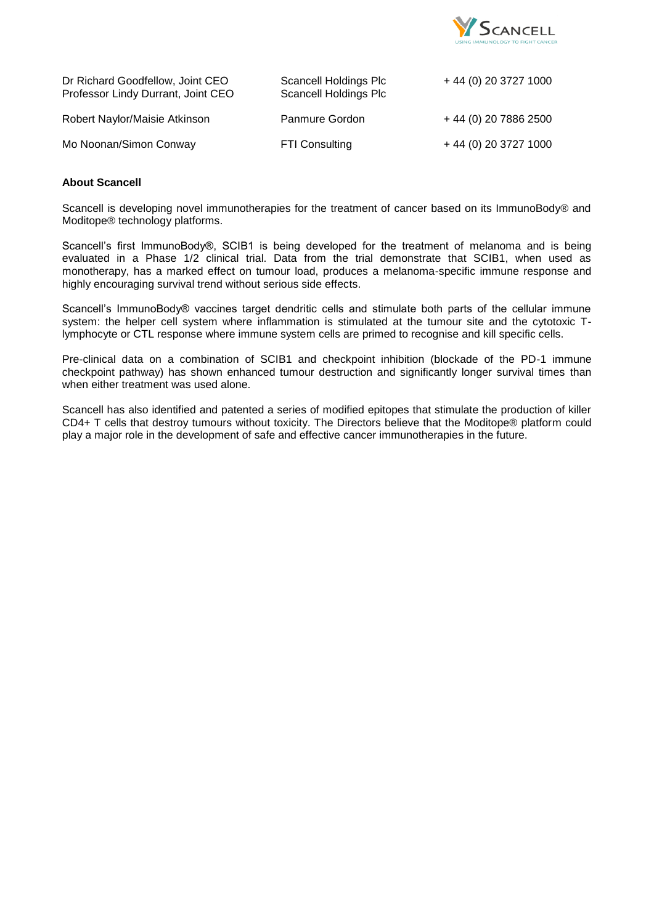

| Dr Richard Goodfellow, Joint CEO<br>Professor Lindy Durrant, Joint CEO | Scancell Holdings Plc<br>Scancell Holdings Plc | + 44 (0) 20 3727 1000 |
|------------------------------------------------------------------------|------------------------------------------------|-----------------------|
| Robert Naylor/Maisie Atkinson                                          | Panmure Gordon                                 | +44 (0) 20 7886 2500  |
| Mo Noonan/Simon Conway                                                 | FTI Consulting                                 | + 44 (0) 20 3727 1000 |

## **About Scancell**

Scancell is developing novel immunotherapies for the treatment of cancer based on its ImmunoBody® and Moditope® technology platforms.

Scancell's first ImmunoBody®, SCIB1 is being developed for the treatment of melanoma and is being evaluated in a Phase 1/2 clinical trial. Data from the trial demonstrate that SCIB1, when used as monotherapy, has a marked effect on tumour load, produces a melanoma-specific immune response and highly encouraging survival trend without serious side effects.

Scancell's ImmunoBody® vaccines target dendritic cells and stimulate both parts of the cellular immune system: the helper cell system where inflammation is stimulated at the tumour site and the cytotoxic Tlymphocyte or CTL response where immune system cells are primed to recognise and kill specific cells.

Pre-clinical data on a combination of SCIB1 and checkpoint inhibition (blockade of the PD-1 immune checkpoint pathway) has shown enhanced tumour destruction and significantly longer survival times than when either treatment was used alone.

Scancell has also identified and patented a series of modified epitopes that stimulate the production of killer CD4+ T cells that destroy tumours without toxicity. The Directors believe that the Moditope® platform could play a major role in the development of safe and effective cancer immunotherapies in the future.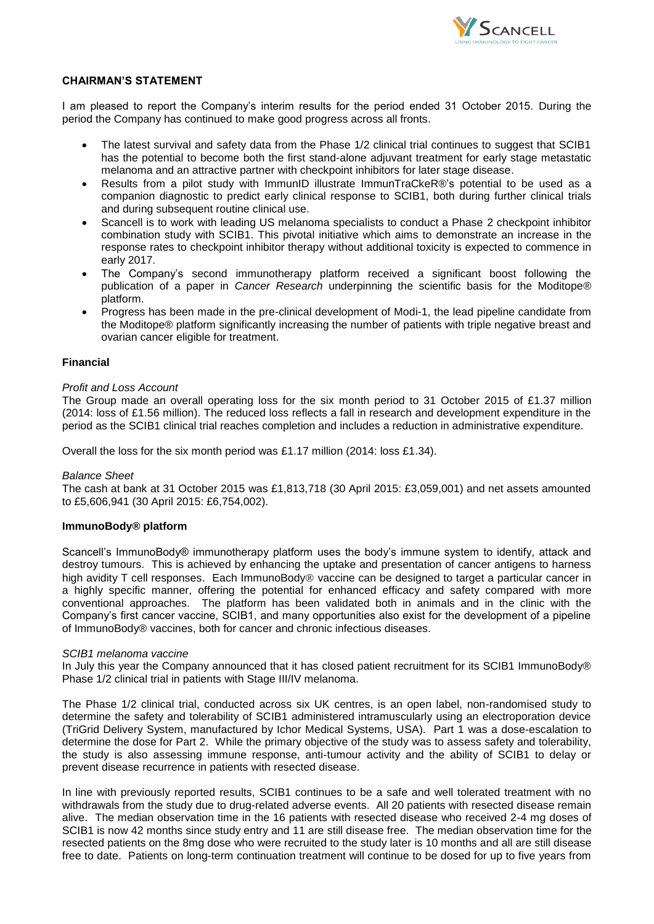

## **CHAIRMAN'S STATEMENT**

I am pleased to report the Company's interim results for the period ended 31 October 2015. During the period the Company has continued to make good progress across all fronts.

- The latest survival and safety data from the Phase 1/2 clinical trial continues to suggest that SCIB1 has the potential to become both the first stand-alone adjuvant treatment for early stage metastatic melanoma and an attractive partner with checkpoint inhibitors for later stage disease.
- Results from a pilot study with ImmunID illustrate ImmunTraCkeR®'s potential to be used as a companion diagnostic to predict early clinical response to SCIB1, both during further clinical trials and during subsequent routine clinical use.
- Scancell is to work with leading US melanoma specialists to conduct a Phase 2 checkpoint inhibitor combination study with SCIB1. This pivotal initiative which aims to demonstrate an increase in the response rates to checkpoint inhibitor therapy without additional toxicity is expected to commence in early 2017.
- The Company's second immunotherapy platform received a significant boost following the publication of a paper in *Cancer Research* underpinning the scientific basis for the Moditope® platform.
- Progress has been made in the pre-clinical development of Modi-1, the lead pipeline candidate from the Moditope® platform significantly increasing the number of patients with triple negative breast and ovarian cancer eligible for treatment.

### **Financial**

### *Profit and Loss Account*

The Group made an overall operating loss for the six month period to 31 October 2015 of £1.37 million (2014: loss of £1.56 million). The reduced loss reflects a fall in research and development expenditure in the period as the SCIB1 clinical trial reaches completion and includes a reduction in administrative expenditure.

Overall the loss for the six month period was £1.17 million (2014: loss £1.34).

#### *Balance Sheet*

The cash at bank at 31 October 2015 was £1,813,718 (30 April 2015: £3,059,001) and net assets amounted to £5,606,941 (30 April 2015: £6,754,002).

### **ImmunoBody® platform**

Scancell's ImmunoBody® immunotherapy platform uses the body's immune system to identify, attack and destroy tumours. This is achieved by enhancing the uptake and presentation of cancer antigens to harness high avidity T cell responses. Each ImmunoBody<sup>®</sup> vaccine can be designed to target a particular cancer in a highly specific manner, offering the potential for enhanced efficacy and safety compared with more conventional approaches. The platform has been validated both in animals and in the clinic with the Company's first cancer vaccine, SCIB1, and many opportunities also exist for the development of a pipeline of ImmunoBody® vaccines, both for cancer and chronic infectious diseases.

#### *SCIB1 melanoma vaccine*

In July this year the Company announced that it has closed patient recruitment for its SCIB1 ImmunoBody® Phase 1/2 clinical trial in patients with Stage III/IV melanoma.

The Phase 1/2 clinical trial, conducted across six UK centres, is an open label, non-randomised study to determine the safety and tolerability of SCIB1 administered intramuscularly using an electroporation device (TriGrid Delivery System, manufactured by Ichor Medical Systems, USA). Part 1 was a dose-escalation to determine the dose for Part 2. While the primary objective of the study was to assess safety and tolerability, the study is also assessing immune response, anti-tumour activity and the ability of SCIB1 to delay or prevent disease recurrence in patients with resected disease.

In line with previously reported results, SCIB1 continues to be a safe and well tolerated treatment with no withdrawals from the study due to drug-related adverse events. All 20 patients with resected disease remain alive. The median observation time in the 16 patients with resected disease who received 2-4 mg doses of SCIB1 is now 42 months since study entry and 11 are still disease free. The median observation time for the resected patients on the 8mg dose who were recruited to the study later is 10 months and all are still disease free to date. Patients on long-term continuation treatment will continue to be dosed for up to five years from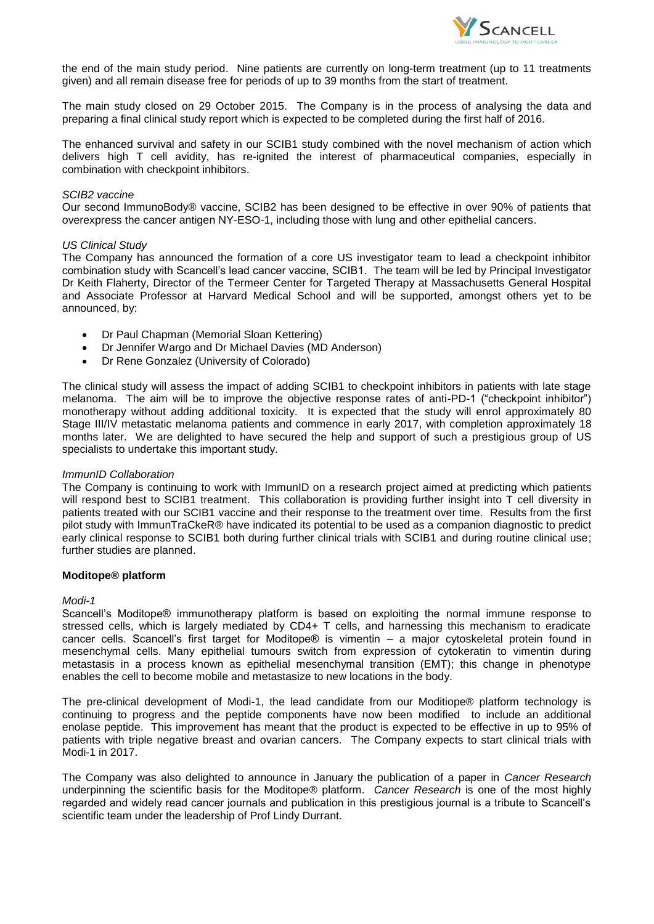

the end of the main study period. Nine patients are currently on long-term treatment (up to 11 treatments given) and all remain disease free for periods of up to 39 months from the start of treatment.

The main study closed on 29 October 2015. The Company is in the process of analysing the data and preparing a final clinical study report which is expected to be completed during the first half of 2016.

The enhanced survival and safety in our SCIB1 study combined with the novel mechanism of action which delivers high T cell avidity, has re-ignited the interest of pharmaceutical companies, especially in combination with checkpoint inhibitors.

### *SCIB2 vaccine*

Our second ImmunoBody® vaccine, SCIB2 has been designed to be effective in over 90% of patients that overexpress the cancer antigen NY-ESO-1, including those with lung and other epithelial cancers.

### *US Clinical Study*

The Company has announced the formation of a core US investigator team to lead a checkpoint inhibitor combination study with Scancell's lead cancer vaccine, SCIB1. The team will be led by Principal Investigator Dr Keith Flaherty, Director of the Termeer Center for Targeted Therapy at Massachusetts General Hospital and Associate Professor at Harvard Medical School and will be supported, amongst others yet to be announced, by:

- Dr Paul Chapman (Memorial Sloan Kettering)
- Dr Jennifer Wargo and Dr Michael Davies (MD Anderson)
- Dr Rene Gonzalez (University of Colorado)

The clinical study will assess the impact of adding SCIB1 to checkpoint inhibitors in patients with late stage melanoma. The aim will be to improve the objective response rates of anti-PD-1 ("checkpoint inhibitor") monotherapy without adding additional toxicity. It is expected that the study will enrol approximately 80 Stage III/IV metastatic melanoma patients and commence in early 2017, with completion approximately 18 months later. We are delighted to have secured the help and support of such a prestigious group of US specialists to undertake this important study.

### *ImmunID Collaboration*

The Company is continuing to work with ImmunID on a research project aimed at predicting which patients will respond best to SCIB1 treatment. This collaboration is providing further insight into T cell diversity in patients treated with our SCIB1 vaccine and their response to the treatment over time. Results from the first pilot study with ImmunTraCkeR® have indicated its potential to be used as a companion diagnostic to predict early clinical response to SCIB1 both during further clinical trials with SCIB1 and during routine clinical use; further studies are planned.

### **Moditope® platform**

### *Modi-1*

Scancell's Moditope® immunotherapy platform is based on exploiting the normal immune response to stressed cells, which is largely mediated by CD4+ T cells, and harnessing this mechanism to eradicate cancer cells. Scancell's first target for Moditope® is vimentin – a major cytoskeletal protein found in mesenchymal cells. Many epithelial tumours switch from expression of cytokeratin to vimentin during metastasis in a process known as epithelial mesenchymal transition (EMT); this change in phenotype enables the cell to become mobile and metastasize to new locations in the body.

The pre-clinical development of Modi-1, the lead candidate from our Moditiope® platform technology is continuing to progress and the peptide components have now been modified to include an additional enolase peptide. This improvement has meant that the product is expected to be effective in up to 95% of patients with triple negative breast and ovarian cancers. The Company expects to start clinical trials with Modi-1 in 2017.

The Company was also delighted to announce in January the publication of a paper in *Cancer Research*  underpinning the scientific basis for the Moditope® platform. *Cancer Research* is one of the most highly regarded and widely read cancer journals and publication in this prestigious journal is a tribute to Scancell's scientific team under the leadership of Prof Lindy Durrant.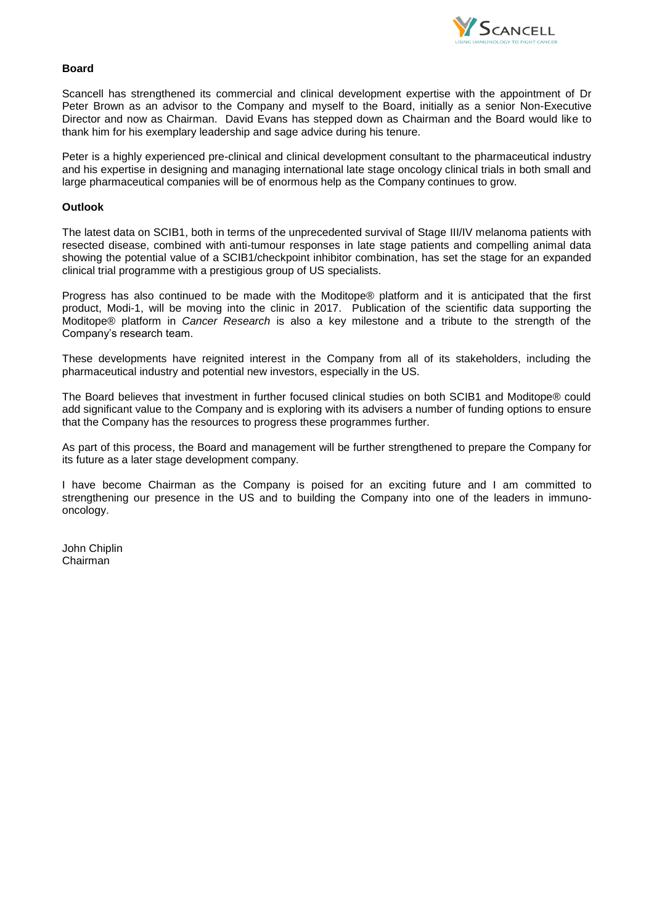

### **Board**

Scancell has strengthened its commercial and clinical development expertise with the appointment of Dr Peter Brown as an advisor to the Company and myself to the Board, initially as a senior Non-Executive Director and now as Chairman. David Evans has stepped down as Chairman and the Board would like to thank him for his exemplary leadership and sage advice during his tenure.

Peter is a highly experienced pre-clinical and clinical development consultant to the pharmaceutical industry and his expertise in designing and managing international late stage oncology clinical trials in both small and large pharmaceutical companies will be of enormous help as the Company continues to grow.

## **Outlook**

The latest data on SCIB1, both in terms of the unprecedented survival of Stage III/IV melanoma patients with resected disease, combined with anti-tumour responses in late stage patients and compelling animal data showing the potential value of a SCIB1/checkpoint inhibitor combination, has set the stage for an expanded clinical trial programme with a prestigious group of US specialists.

Progress has also continued to be made with the Moditope® platform and it is anticipated that the first product, Modi-1, will be moving into the clinic in 2017. Publication of the scientific data supporting the Moditope® platform in *Cancer Research* is also a key milestone and a tribute to the strength of the Company's research team.

These developments have reignited interest in the Company from all of its stakeholders, including the pharmaceutical industry and potential new investors, especially in the US.

The Board believes that investment in further focused clinical studies on both SCIB1 and Moditope® could add significant value to the Company and is exploring with its advisers a number of funding options to ensure that the Company has the resources to progress these programmes further.

As part of this process, the Board and management will be further strengthened to prepare the Company for its future as a later stage development company.

I have become Chairman as the Company is poised for an exciting future and I am committed to strengthening our presence in the US and to building the Company into one of the leaders in immunooncology.

John Chiplin Chairman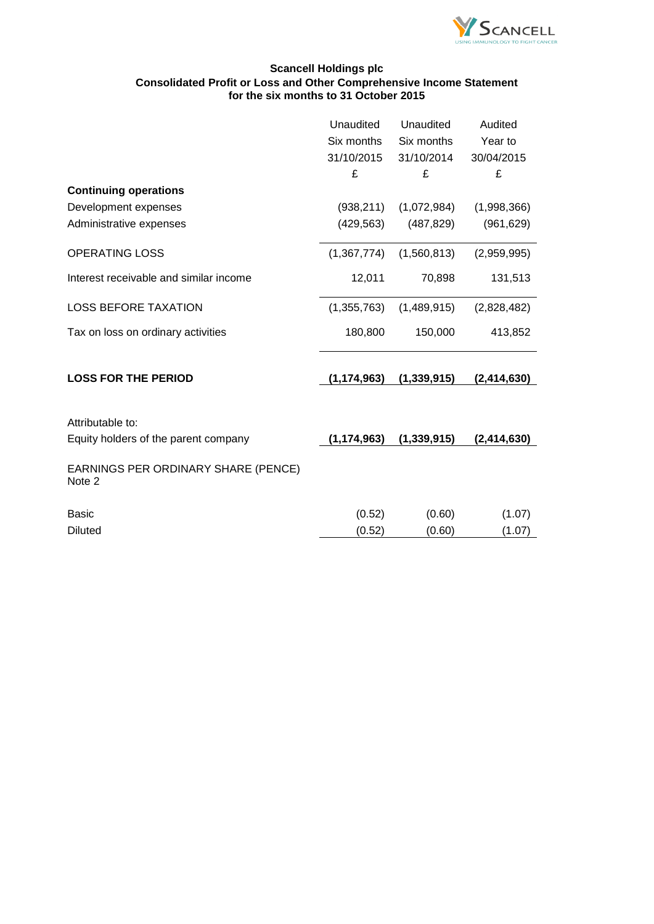

# **Scancell Holdings plc Consolidated Profit or Loss and Other Comprehensive Income Statement for the six months to 31 October 2015**

|                                               | Unaudited     | Unaudited     | Audited     |
|-----------------------------------------------|---------------|---------------|-------------|
|                                               | Six months    | Six months    | Year to     |
|                                               | 31/10/2015    | 31/10/2014    | 30/04/2015  |
|                                               | £             | £             | £           |
| <b>Continuing operations</b>                  |               |               |             |
| Development expenses                          | (938, 211)    | (1,072,984)   | (1,998,366) |
| Administrative expenses                       | (429, 563)    | (487, 829)    | (961, 629)  |
| <b>OPERATING LOSS</b>                         | (1,367,774)   | (1,560,813)   | (2,959,995) |
| Interest receivable and similar income        | 12,011        | 70,898        | 131,513     |
| <b>LOSS BEFORE TAXATION</b>                   | (1,355,763)   | (1,489,915)   | (2,828,482) |
| Tax on loss on ordinary activities            | 180,800       | 150,000       | 413,852     |
| <b>LOSS FOR THE PERIOD</b>                    | (1, 174, 963) |               |             |
|                                               |               | (1, 339, 915) | (2,414,630) |
| Attributable to:                              |               |               |             |
| Equity holders of the parent company          | (1, 174, 963) | (1, 339, 915) | (2,414,630) |
| EARNINGS PER ORDINARY SHARE (PENCE)<br>Note 2 |               |               |             |
| <b>Basic</b>                                  | (0.52)        | (0.60)        | (1.07)      |
| <b>Diluted</b>                                | (0.52)        | (0.60)        | (1.07)      |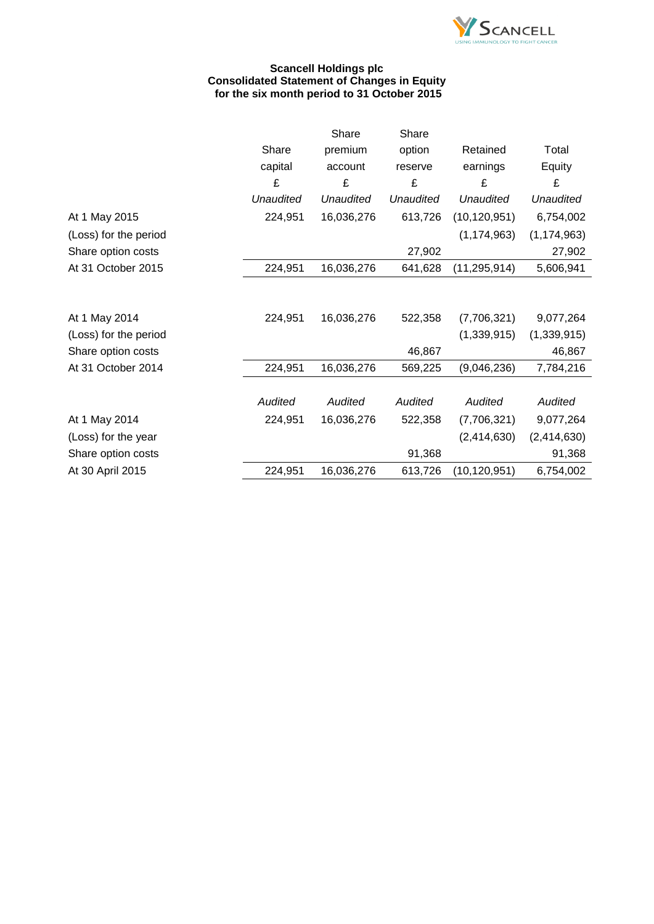

### **Scancell Holdings plc Consolidated Statement of Changes in Equity for the six month period to 31 October 2015**

|                       |                  | Share            | Share            |                  |                  |
|-----------------------|------------------|------------------|------------------|------------------|------------------|
|                       | Share            | premium          | option           | Retained         | Total            |
|                       | capital          | account          | reserve          | earnings         | Equity           |
|                       | £                | £                | £                | £                | £                |
|                       | <b>Unaudited</b> | <b>Unaudited</b> | <b>Unaudited</b> | <b>Unaudited</b> | <b>Unaudited</b> |
| At 1 May 2015         | 224,951          | 16,036,276       | 613,726          | (10, 120, 951)   | 6,754,002        |
| (Loss) for the period |                  |                  |                  | (1, 174, 963)    | (1, 174, 963)    |
| Share option costs    |                  |                  | 27,902           |                  | 27,902           |
| At 31 October 2015    | 224,951          | 16,036,276       | 641,628          | (11, 295, 914)   | 5,606,941        |
|                       |                  |                  |                  |                  |                  |
| At 1 May 2014         | 224,951          | 16,036,276       | 522,358          | (7,706,321)      | 9,077,264        |
| (Loss) for the period |                  |                  |                  | (1,339,915)      | (1,339,915)      |
| Share option costs    |                  |                  | 46,867           |                  | 46,867           |
| At 31 October 2014    | 224,951          | 16,036,276       | 569,225          | (9,046,236)      | 7,784,216        |
|                       |                  |                  |                  |                  |                  |
|                       | Audited          | Audited          | <b>Audited</b>   | Audited          | Audited          |
| At 1 May 2014         | 224,951          | 16,036,276       | 522,358          | (7,706,321)      | 9,077,264        |
| (Loss) for the year   |                  |                  |                  | (2,414,630)      | (2,414,630)      |
| Share option costs    |                  |                  | 91,368           |                  | 91,368           |
| At 30 April 2015      | 224,951          | 16,036,276       | 613,726          | (10, 120, 951)   | 6,754,002        |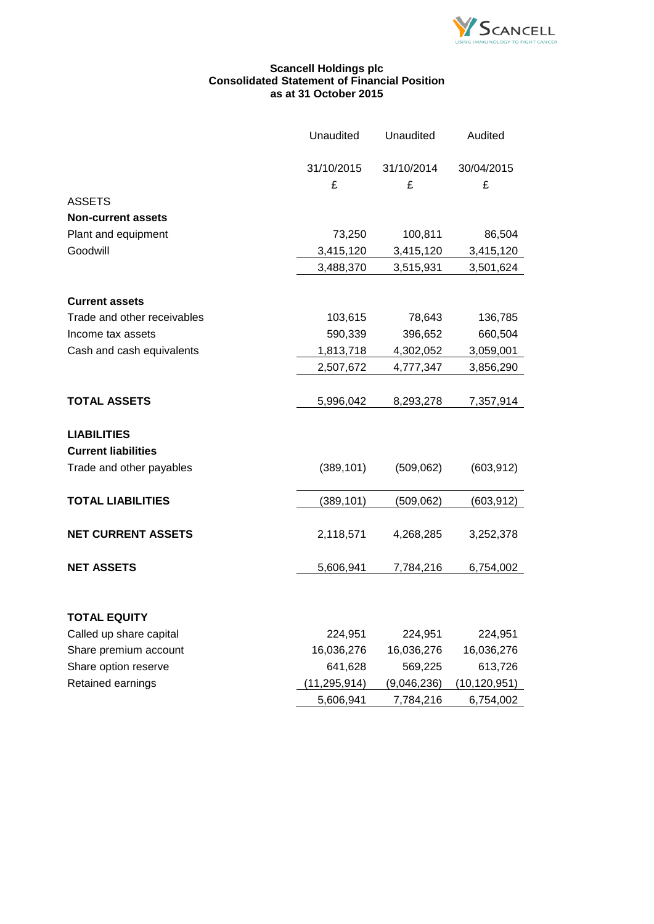

### **Scancell Holdings plc Consolidated Statement of Financial Position as at 31 October 2015**

|                             | Unaudited      | Unaudited   | Audited      |
|-----------------------------|----------------|-------------|--------------|
|                             | 31/10/2015     | 31/10/2014  | 30/04/2015   |
|                             | £              | £           | £            |
| <b>ASSETS</b>               |                |             |              |
| <b>Non-current assets</b>   |                |             |              |
| Plant and equipment         | 73,250         | 100,811     | 86,504       |
| Goodwill                    | 3,415,120      | 3,415,120   | 3,415,120    |
|                             | 3,488,370      | 3,515,931   | 3,501,624    |
| <b>Current assets</b>       |                |             |              |
| Trade and other receivables | 103,615        | 78,643      | 136,785      |
| Income tax assets           | 590,339        | 396,652     | 660,504      |
| Cash and cash equivalents   | 1,813,718      | 4,302,052   | 3,059,001    |
|                             | 2,507,672      | 4,777,347   | 3,856,290    |
|                             |                |             |              |
| <b>TOTAL ASSETS</b>         | 5,996,042      | 8,293,278   | 7,357,914    |
| <b>LIABILITIES</b>          |                |             |              |
| <b>Current liabilities</b>  |                |             |              |
| Trade and other payables    | (389, 101)     | (509, 062)  | (603, 912)   |
| <b>TOTAL LIABILITIES</b>    | (389, 101)     | (509, 062)  | (603, 912)   |
| <b>NET CURRENT ASSETS</b>   | 2,118,571      | 4,268,285   | 3,252,378    |
| <b>NET ASSETS</b>           | 5,606,941      | 7,784,216   | 6,754,002    |
|                             |                |             |              |
| TOTAL EQUITY                |                |             |              |
| Called up share capital     | 224,951        | 224,951     | 224,951      |
| Share premium account       | 16,036,276     | 16,036,276  | 16,036,276   |
| Share option reserve        | 641,628        | 569,225     | 613,726      |
| Retained earnings           | (11, 295, 914) | (9,046,236) | (10,120,951) |
|                             | 5,606,941      | 7,784,216   | 6,754,002    |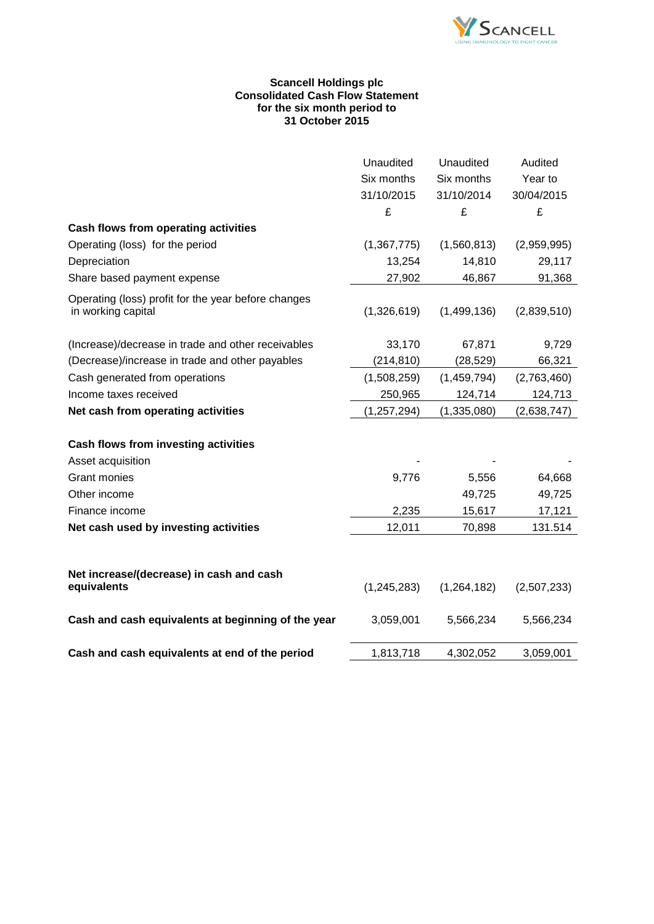

### **Scancell Holdings plc Consolidated Cash Flow Statement for the six month period to 31 October 2015**

|                                                     | Unaudited     | Unaudited     | Audited     |
|-----------------------------------------------------|---------------|---------------|-------------|
|                                                     | Six months    | Six months    | Year to     |
|                                                     | 31/10/2015    | 31/10/2014    | 30/04/2015  |
|                                                     | £             | £             | £           |
| Cash flows from operating activities                |               |               |             |
| Operating (loss) for the period                     | (1, 367, 775) | (1,560,813)   | (2,959,995) |
| Depreciation                                        | 13,254        | 14,810        | 29,117      |
| Share based payment expense                         | 27,902        | 46,867        | 91,368      |
| Operating (loss) profit for the year before changes |               |               |             |
| in working capital                                  | (1,326,619)   | (1,499,136)   | (2,839,510) |
|                                                     |               |               |             |
| (Increase)/decrease in trade and other receivables  | 33,170        | 67,871        | 9,729       |
| (Decrease)/increase in trade and other payables     | (214, 810)    | (28, 529)     | 66,321      |
| Cash generated from operations                      | (1,508,259)   | (1,459,794)   | (2,763,460) |
| Income taxes received                               | 250,965       | 124,714       | 124,713     |
| Net cash from operating activities                  | (1, 257, 294) | (1, 335, 080) | (2,638,747) |
| Cash flows from investing activities                |               |               |             |
| Asset acquisition                                   |               |               |             |
| <b>Grant monies</b>                                 | 9,776         | 5,556         | 64,668      |
| Other income                                        |               | 49,725        | 49,725      |
| Finance income                                      | 2,235         | 15,617        | 17,121      |
| Net cash used by investing activities               | 12,011        | 70,898        | 131.514     |
|                                                     |               |               |             |
| Net increase/(decrease) in cash and cash            |               |               |             |
| equivalents                                         | (1, 245, 283) | (1,264,182)   | (2,507,233) |
| Cash and cash equivalents at beginning of the year  | 3,059,001     | 5,566,234     | 5,566,234   |
| Cash and cash equivalents at end of the period      | 1,813,718     | 4,302,052     | 3,059,001   |